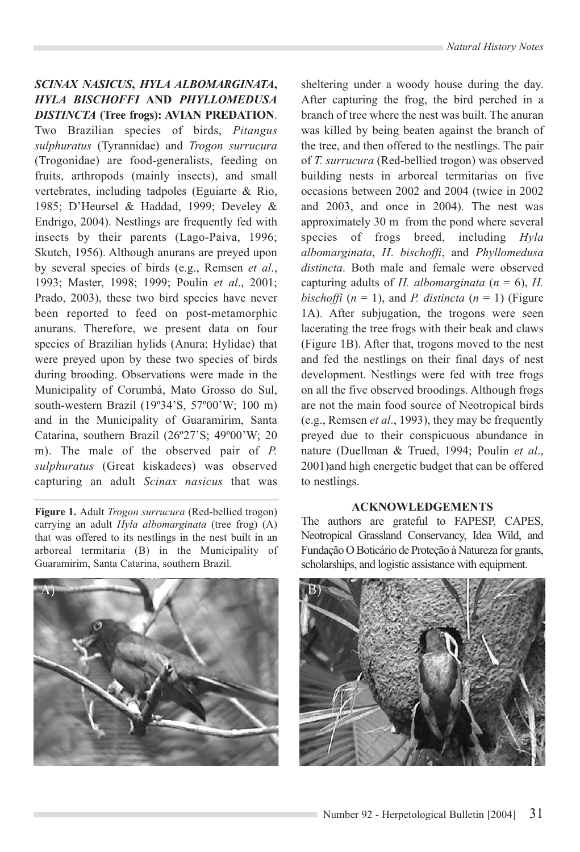## *SCINAX NASICUS***,** *HYLA ALBOMARGINATA***,** *HYLA BISCHOFFI* **AND** *PHYLLOMEDUSA DISTINCTA* **(Tree frogs): AVIAN PREDATION**.

Two Brazilian species of birds, *Pitangus sulphuratus* (Tyrannidae) and *Trogon surrucura* (Trogonidae) are food-generalists, feeding on fruits, arthropods (mainly insects), and small vertebrates, including tadpoles (Eguiarte & Rio, 1985; D'Heursel & Haddad, 1999; Develey & Endrigo, 2004). Nestlings are frequently fed with insects by their parents (Lago-Paiva, 1996; Skutch, 1956). Although anurans are preyed upon by several species of birds (e.g., Remsen *et al*., 1993; Master, 1998; 1999; Poulin *et al*., 2001; Prado, 2003), these two bird species have never been reported to feed on post-metamorphic anurans. Therefore, we present data on four species of Brazilian hylids (Anura; Hylidae) that were preyed upon by these two species of birds during brooding. Observations were made in the Municipality of Corumbá, Mato Grosso do Sul, south-western Brazil (19º34'S, 57º00'W; 100 m) and in the Municipality of Guaramirim, Santa Catarina, southern Brazil (26º27'S; 49º00'W; 20 m). The male of the observed pair of *P. sulphuratus* (Great kiskadees) was observed capturing an adult *Scinax nasicus* that was

**Figure 1.** Adult *Trogon surrucura* (Red-bellied trogon) carrying an adult *Hyla albomarginata* (tree frog) (A) that was offered to its nestlings in the nest built in an arboreal termitaria (B) in the Municipality of Guaramirim, Santa Catarina, southern Brazil.



sheltering under a woody house during the day. After capturing the frog, the bird perched in a branch of tree where the nest was built. The anuran was killed by being beaten against the branch of the tree, and then offered to the nestlings. The pair of *T. surrucura* (Red-bellied trogon) was observed building nests in arboreal termitarias on five occasions between 2002 and 2004 (twice in 2002 and 2003, and once in 2004). The nest was approximately 30 m from the pond where several species of frogs breed, including *Hyla albomarginata*, *H*. *bischoffi*, and *Phyllomedusa distincta*. Both male and female were observed capturing adults of *H. albomarginata*  $(n = 6)$ , *H. bischoffi*  $(n = 1)$ , and *P. distincta*  $(n = 1)$  (Figure 1A). After subjugation, the trogons were seen lacerating the tree frogs with their beak and claws (Figure 1B). After that, trogons moved to the nest and fed the nestlings on their final days of nest development. Nestlings were fed with tree frogs on all the five observed broodings. Although frogs are not the main food source of Neotropical birds (e.g., Remsen *et al*., 1993), they may be frequently preyed due to their conspicuous abundance in nature (Duellman & Trued, 1994; Poulin *et al*., 2001)and high energetic budget that can be offered to nestlings.

## **ACKNOWLEDGEMENTS**

The authors are grateful to FAPESP, CAPES, Neotropical Grassland Conservancy, Idea Wild, and Fundação O Boticário de Proteção à Natureza for grants, scholarships, and logistic assistance with equipment.